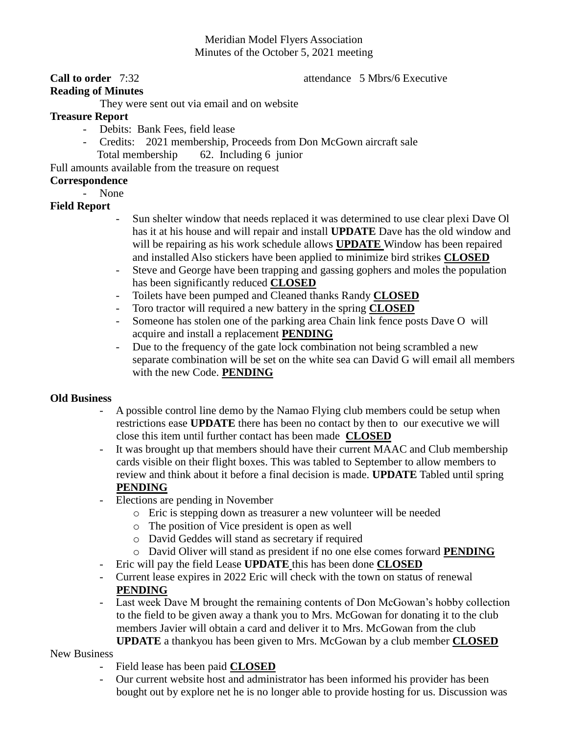## Meridian Model Flyers Association Minutes of the October 5, 2021 meeting

### **Call to order** 7:32 **attendance** 5 Mbrs/6 Executive

# **Reading of Minutes**

They were sent out via email and on website

## **Treasure Report**

- Debits: Bank Fees, field lease
- Credits: 2021 membership, Proceeds from Don McGown aircraft sale Total membership 62. Including 6 junior

Full amounts available from the treasure on request

## **Correspondence**

- None

## **Field Report**

- Sun shelter window that needs replaced it was determined to use clear plexi Dave Ol has it at his house and will repair and install **UPDATE** Dave has the old window and will be repairing as his work schedule allows **UPDATE** Window has been repaired and installed Also stickers have been applied to minimize bird strikes **CLOSED**
- Steve and George have been trapping and gassing gophers and moles the population has been significantly reduced **CLOSED**
- Toilets have been pumped and Cleaned thanks Randy **CLOSED**
- Toro tractor will required a new battery in the spring **CLOSED**
- Someone has stolen one of the parking area Chain link fence posts Dave O will acquire and install a replacement **PENDING**
- Due to the frequency of the gate lock combination not being scrambled a new separate combination will be set on the white sea can David G will email all members with the new Code. **PENDING**

### **Old Business**

- A possible control line demo by the Namao Flying club members could be setup when restrictions ease **UPDATE** there has been no contact by then to our executive we will close this item until further contact has been made **CLOSED**
- It was brought up that members should have their current MAAC and Club membership cards visible on their flight boxes. This was tabled to September to allow members to review and think about it before a final decision is made. **UPDATE** Tabled until spring **PENDING**
- Elections are pending in November
	- o Eric is stepping down as treasurer a new volunteer will be needed
	- o The position of Vice president is open as well
	- o David Geddes will stand as secretary if required
	- o David Oliver will stand as president if no one else comes forward **PENDING**
- Eric will pay the field Lease **UPDATE** this has been done **CLOSED**
- Current lease expires in 2022 Eric will check with the town on status of renewal **PENDING**
- Last week Dave M brought the remaining contents of Don McGowan's hobby collection to the field to be given away a thank you to Mrs. McGowan for donating it to the club members Javier will obtain a card and deliver it to Mrs. McGowan from the club **UPDATE** a thankyou has been given to Mrs. McGowan by a club member **CLOSED**

### New Business

- Field lease has been paid **CLOSED**
- Our current website host and administrator has been informed his provider has been bought out by explore net he is no longer able to provide hosting for us. Discussion was